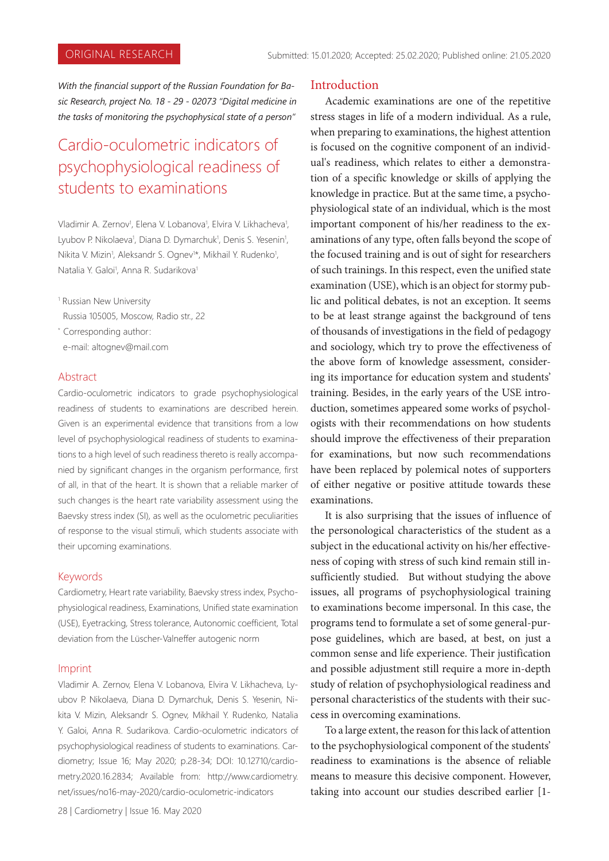*With the financial support of the Russian Foundation for Basic Research, project No. 18 - 29 - 02073 "Digital medicine in the tasks of monitoring the psychophysical state of a person"*

# Cardio-oсulometric indicators of psychophysiological readiness of students to examinations

Vladimir A. Zernov<sup>1</sup>, Elena V. Lobanova<sup>1</sup>, Elvira V. Likhacheva<sup>1</sup>, Lyubov P. Nikolaeva<sup>1</sup>, Diana D. Dymarchuk<sup>1</sup>, Denis S. Yesenin<sup>1</sup>, Nikita V. Mizin<sup>1</sup>, Aleksandr S. Ognev<sup>1\*</sup>, Mikhail Y. Rudenko<sup>1</sup>, Natalia Y. Galoi<sup>1</sup>, Anna R. Sudarikova<sup>1</sup>

1 Russian New University Russia 105005, Moscow, Radio str., 22

\* Corresponding author: e-mail: altognev@mail.com

#### Abstract

Cardio-oсulometric indicators to grade psychophysiological readiness of students to examinations are described herein. Given is an experimental evidence that transitions from a low level of psychophysiological readiness of students to examinations to a high level of such readiness thereto is really accompanied by significant changes in the organism performance, first of all, in that of the heart. It is shown that a reliable marker of such changes is the heart rate variability assessment using the Baevsky stress index (SI), as well as the oculometric peculiarities of response to the visual stimuli, which students associate with their upcoming examinations.

#### Keywords

Cardiometry, Heart rate variability, Baevsky stress index, Psychophysiological readiness, Examinations, Unified state examination (USE), Eyetracking, Stress tolerance, Autonomic coefficient, Total deviation from the Lüscher-Valneffer autogenic norm

#### Imprint

Vladimir A. Zernov, Elena V. Lobanova, Elvira V. Likhacheva, Lyubov P. Nikolaeva, Diana D. Dymarchuk, Denis S. Yesenin, Nikita V. Mizin, Aleksandr S. Ognev, Mikhail Y. Rudenko, Natalia Y. Galoi, Anna R. Sudarikova. Cardio-oсulometric indicators of psychophysiological readiness of students to examinations. Cardiometry; Issue 16; May 2020; р.28-34; DOI: 10.12710/cardiometry.2020.16.2834; Available from: http://www.cardiometry. net/issues/no16-may-2020/cardio-oculometric-indicators

#### **Introduction**

Academic examinations are one of the repetitive stress stages in life of a modern individual. As a rule, when preparing to examinations, the highest attention is focused on the cognitive component of an individual's readiness, which relates to either a demonstration of a specific knowledge or skills of applying the knowledge in practice. But at the same time, a psychophysiological state of an individual, which is the most important component of his/her readiness to the examinations of any type, often falls beyond the scope of the focused training and is out of sight for researchers of such trainings. In this respect, even the unified state examination (USE), which is an object for stormy public and political debates, is not an exception. It seems to be at least strange against the background of tens of thousands of investigations in the field of pedagogy and sociology, which try to prove the effectiveness of the above form of knowledge assessment, considering its importance for education system and students' training. Besides, in the early years of the USE introduction, sometimes appeared some works of psychologists with their recommendations on how students should improve the effectiveness of their preparation for examinations, but now such recommendations have been replaced by polemical notes of supporters of either negative or positive attitude towards these examinations.

It is also surprising that the issues of influence of the personological characteristics of the student as a subject in the educational activity on his/her effectiveness of coping with stress of such kind remain still insufficiently studied. But without studying the above issues, all programs of psychophysiological training to examinations become impersonal. In this case, the programs tend to formulate a set of some general-purpose guidelines, which are based, at best, on just a common sense and life experience. Their justification and possible adjustment still require a more in-depth study of relation of psychophysiological readiness and personal characteristics of the students with their success in overcoming examinations.

To a large extent, the reason for this lack of attention to the psychophysiological component of the students' readiness to examinations is the absence of reliable means to measure this decisive component. However, taking into account our studies described earlier [1-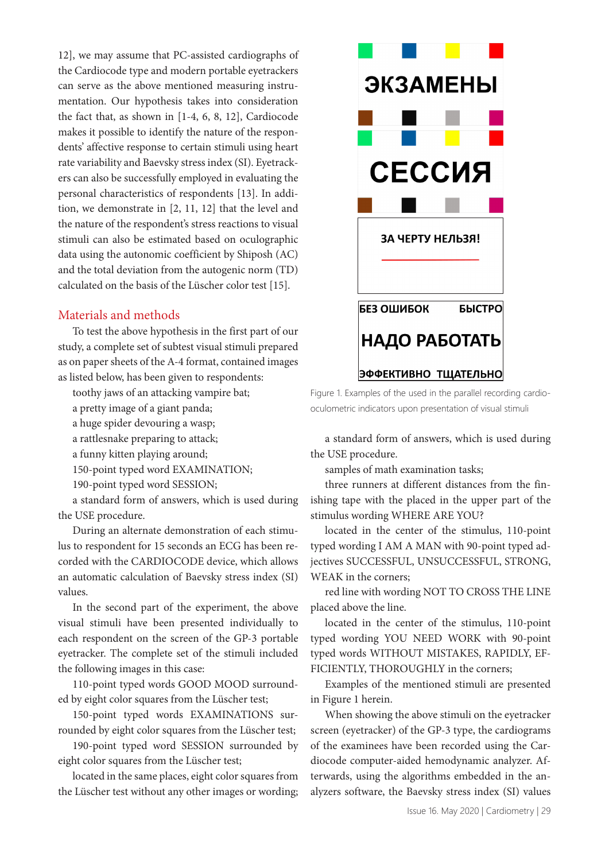12], we may assume that PC-assisted cardiographs of the Cardiocode type and modern portable eyetrackers can serve as the above mentioned measuring instrumentation. Our hypothesis takes into consideration the fact that, as shown in [1-4, 6, 8, 12], Cardiocode makes it possible to identify the nature of the respondents' affective response to certain stimuli using heart rate variability and Baevsky stress index (SI). Eyetrackers can also be successfully employed in evaluating the personal characteristics of respondents [13]. In addition, we demonstrate in [2, 11, 12] that the level and the nature of the respondent's stress reactions to visual stimuli can also be estimated based on oculographic data using the autonomic coefficient by Shiposh (AC) and the total deviation from the autogenic norm (TD) calculated on the basis of the Lüscher color test [15].

# Materials and methods

To test the above hypothesis in the first part of our study, a complete set of subtest visual stimuli prepared as on paper sheets of the A-4 format, contained images as listed below, has been given to respondents:

toothy jaws of an attacking vampire bat;

a pretty image of a giant panda;

a huge spider devouring a wasp;

a rattlesnake preparing to attack;

a funny kitten playing around;

150-point typed word EXAMINATION;

190-point typed word SESSION;

a standard form of answers, which is used during the USE procedure.

During an alternate demonstration of each stimulus to respondent for 15 seconds an ECG has been recorded with the CARDIOCODE device, which allows an automatic calculation of Baevsky stress index (SI) values.

In the second part of the experiment, the above visual stimuli have been presented individually to each respondent on the screen of the GP-3 portable eyetracker. The complete set of the stimuli included the following images in this case:

110-point typed words GOOD MOOD surrounded by eight color squares from the Lüscher test;

150-point typed words EXAMINATIONS surrounded by eight color squares from the Lüscher test;

190-point typed word SESSION surrounded by eight color squares from the Lüscher test;

located in the same places, eight color squares from the Lüscher test without any other images or wording;



Figure 1. Examples of the used in the parallel recording cardiooculometric indicators upon presentation of visual stimuli

a standard form of answers, which is used during the USE procedure.

samples of math examination tasks;

three runners at different distances from the finishing tape with the placed in the upper part of the stimulus wording WHERE ARE YOU?

located in the center of the stimulus, 110-point typed wording I AM A MAN with 90-point typed adjectives SUCCESSFUL, UNSUCCESSFUL, STRONG, WEAK in the corners;

red line with wording NOT TO CROSS THE LINE placed above the line.

located in the center of the stimulus, 110-point typed wording YOU NEED WORK with 90-point typed words WITHOUT MISTAKES, RAPIDLY, EF-FICIENTLY, THOROUGHLY in the corners;

Examples of the mentioned stimuli are presented in Figure 1 herein.

When showing the above stimuli on the eyetracker screen (eyetracker) of the GP-3 type, the cardiograms of the examinees have been recorded using the Cardiocode computer-aided hemodynamic analyzer. Afterwards, using the algorithms embedded in the analyzers software, the Baevsky stress index (SI) values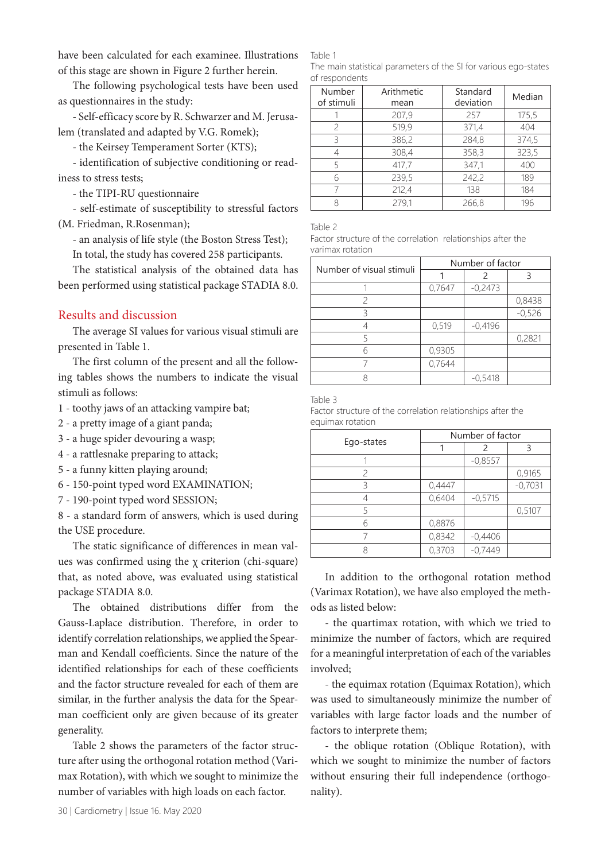have been calculated for each examinee. Illustrations of this stage are shown in Figure 2 further herein.

The following psychological tests have been used as questionnaires in the study:

- Self-efficacy score by R. Schwarzer and M. Jerusalem (translated and adapted by V.G. Romek);

- the Keirsey Temperament Sorter (KTS);

- identification of subjective conditioning or readiness to stress tests;

- the TIPI-RU questionnaire

- self-estimate of susceptibility to stressful factors

(M. Friedman, R.Rosenman);

- an analysis of life style (the Boston Stress Test);

In total, the study has covered 258 participants.

The statistical analysis of the obtained data has been performed using statistical package STADIA 8.0.

## Results and discussion

The average SI values for various visual stimuli are presented in Table 1.

The first column of the present and all the following tables shows the numbers to indicate the visual stimuli as follows:

- 1 toothy jaws of an attacking vampire bat;
- 2 a pretty image of a giant panda;
- 3 a huge spider devouring a wasp;
- 4 a rattlesnake preparing to attack;
- 5 a funny kitten playing around;
- 6 150-point typed word EXAMINATION;
- 7 190-point typed word SESSION;

8 - a standard form of answers, which is used during the USE procedure.

The static significance of differences in mean values was confirmed using the χ criterion (chi-square) that, as noted above, was evaluated using statistical package STADIA 8.0.

The obtained distributions differ from the Gauss-Laplace distribution. Therefore, in order to identify correlation relationships, we applied the Spearman and Kendall coefficients. Since the nature of the identified relationships for each of these coefficients and the factor structure revealed for each of them are similar, in the further analysis the data for the Spearman coefficient only are given because of its greater generality.

Table 2 shows the parameters of the factor structure after using the orthogonal rotation method (Varimax Rotation), with which we sought to minimize the number of variables with high loads on each factor.

Table 1

The main statistical parameters of the SI for various ego-states of respondents

| Number<br>of stimuli | Arithmetic<br>mean | Standard<br>deviation | Median |
|----------------------|--------------------|-----------------------|--------|
|                      | 207,9              | 257                   | 175,5  |
| $\mathcal{P}$        | 519,9              | 371,4                 | 404    |
| 3                    | 386,2              | 284,8                 | 374,5  |
|                      | 308,4              | 358,3                 | 323,5  |
| 5                    | 417.7              | 347.1                 | 400    |
| 6                    | 239,5              | 242,2                 | 189    |
|                      | 212,4              | 138                   | 184    |
| 8                    | 279,1              | 266,8                 | 196    |

Table 2

Factor structure of the correlation relationships after the varimax rotation

| Number of visual stimuli | Number of factor |           |          |  |
|--------------------------|------------------|-----------|----------|--|
|                          |                  | 2         | ς        |  |
|                          | 0,7647           | $-0,2473$ |          |  |
| 2                        |                  |           | 0,8438   |  |
| ੨                        |                  |           | $-0,526$ |  |
|                          | 0,519            | $-0,4196$ |          |  |
|                          |                  |           | 0,2821   |  |
| հ                        | 0,9305           |           |          |  |
|                          | 0,7644           |           |          |  |
|                          |                  | $-0,5418$ |          |  |

Table 3

|                  |  | Factor structure of the correlation relationships after the |  |
|------------------|--|-------------------------------------------------------------|--|
| equimax rotation |  |                                                             |  |

|            | Number of factor |           |           |  |
|------------|------------------|-----------|-----------|--|
| Ego-states |                  | 2         | ξ         |  |
|            |                  | $-0,8557$ |           |  |
| 2          |                  |           | 0,9165    |  |
| ξ          | 0,4447           |           | $-0,7031$ |  |
|            | 0,6404           | $-0.5715$ |           |  |
| 5          |                  |           | 0,5107    |  |
| 6          | 0,8876           |           |           |  |
|            | 0,8342           | $-0,4406$ |           |  |
|            | 0,3703           | $-0,7449$ |           |  |

In addition to the orthogonal rotation method (Varimax Rotation), we have also employed the methods as listed below:

- the quartimax rotation, with which we tried to minimize the number of factors, which are required for a meaningful interpretation of each of the variables involved;

- the equimax rotation (Equimax Rotation), which was used to simultaneously minimize the number of variables with large factor loads and the number of factors to interprete them;

- the oblique rotation (Оblique Rotation), with which we sought to minimize the number of factors without ensuring their full independence (orthogonality).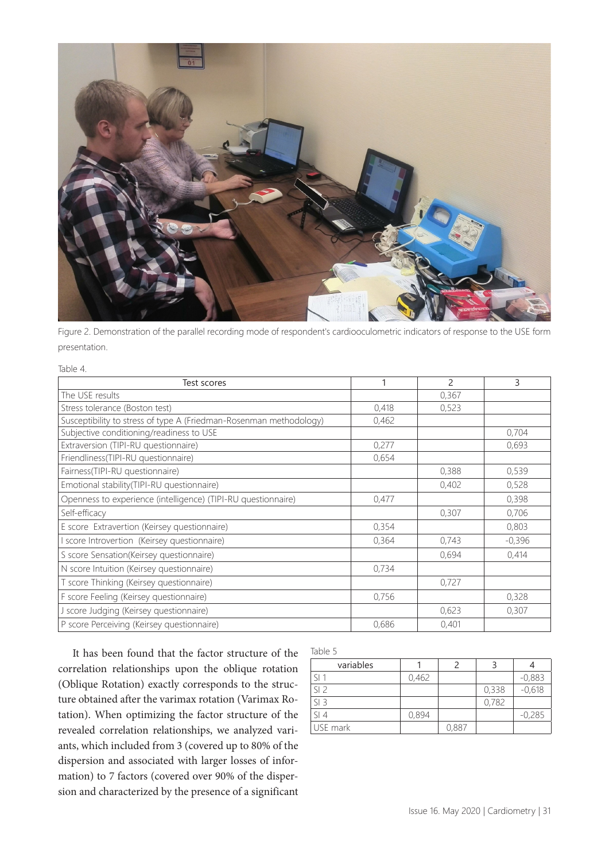

Figure 2. Demonstration of the parallel recording mode of respondent's cardiooculometric indicators of response to the USE form presentation.

#### Table 4.

| Test scores                                                        |       | $\mathfrak{p}$ | 3        |
|--------------------------------------------------------------------|-------|----------------|----------|
| The USE results                                                    |       | 0,367          |          |
| Stress tolerance (Boston test)                                     | 0,418 | 0,523          |          |
| Susceptibility to stress of type A (Friedman-Rosenman methodology) | 0,462 |                |          |
| Subjective conditioning/readiness to USE                           |       |                | 0,704    |
| Extraversion (TIPI-RU questionnaire)                               | 0,277 |                | 0,693    |
| Friendliness(TIPI-RU questionnaire)                                | 0,654 |                |          |
| Fairness(TIPI-RU questionnaire)                                    |       | 0,388          | 0,539    |
| Emotional stability(TIPI-RU questionnaire)                         |       | 0,402          | 0,528    |
| Openness to experience (intelligence) (TIPI-RU questionnaire)      | 0,477 |                | 0,398    |
| Self-efficacy                                                      |       | 0,307          | 0,706    |
| E score Extravertion (Keirsey questionnaire)                       | 0,354 |                | 0,803    |
| score Introvertion (Keirsey questionnaire)                         | 0,364 | 0,743          | $-0,396$ |
| S score Sensation(Keirsey questionnaire)                           |       | 0,694          | 0,414    |
| N score Intuition (Keirsey questionnaire)                          | 0.734 |                |          |
| T score Thinking (Keirsey questionnaire)                           |       | 0,727          |          |
| F score Feeling (Keirsey questionnaire)                            | 0,756 |                | 0,328    |
| J score Judging (Keirsey questionnaire)                            |       | 0,623          | 0,307    |
| P score Perceiving (Keirsey questionnaire)                         | 0,686 | 0,401          |          |

It has been found that the factor structure of the correlation relationships upon the oblique rotation (Оblique Rotation) exactly corresponds to the structure obtained after the varimax rotation (Varimax Rotation). When optimizing the factor structure of the revealed correlation relationships, we analyzed variants, which included from 3 (covered up to 80% of the dispersion and associated with larger losses of information) to 7 factors (covered over 90% of the dispersion and characterized by the presence of a significant

| Table 5         |       |       |       |          |
|-----------------|-------|-------|-------|----------|
| variables       |       | フ     |       |          |
| $\frac{1}{2}$   | 0,462 |       |       | $-0,883$ |
| SI <sub>2</sub> |       |       | 0,338 | $-0,618$ |
| $SI$ 3          |       |       | 0,782 |          |
| SI4             | 0,894 |       |       | $-0,285$ |
| USE mark        |       | 0,887 |       |          |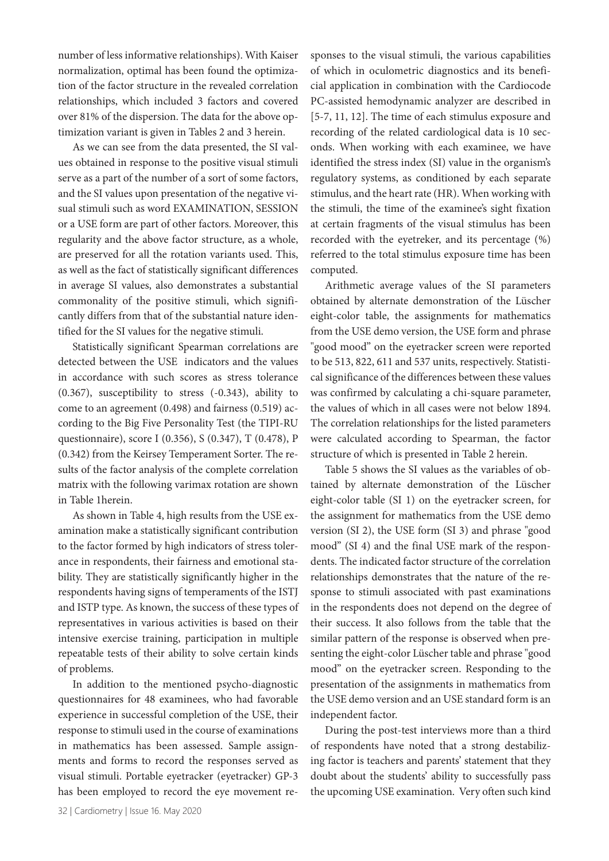number of less informative relationships). With Kaiser normalization, optimal has been found the optimization of the factor structure in the revealed correlation relationships, which included 3 factors and covered over 81% of the dispersion. The data for the above optimization variant is given in Tables 2 and 3 herein.

As we can see from the data presented, the SI values obtained in response to the positive visual stimuli serve as a part of the number of a sort of some factors, and the SI values upon presentation of the negative visual stimuli such as word EXAMINATION, SESSION or a USE form are part of other factors. Moreover, this regularity and the above factor structure, as a whole, are preserved for all the rotation variants used. This, as well as the fact of statistically significant differences in average SI values, also demonstrates a substantial commonality of the positive stimuli, which significantly differs from that of the substantial nature identified for the SI values for the negative stimuli.

Statistically significant Spearman correlations are detected between the USE indicators and the values in accordance with such scores as stress tolerance (0.367), susceptibility to stress (-0.343), ability to come to an agreement (0.498) and fairness (0.519) according to the Big Five Personality Test (the TIPI-RU questionnaire), score I (0.356), S (0.347), T (0.478), P (0.342) from the Keirsey Temperament Sorter. The results of the factor analysis of the complete correlation matrix with the following varimax rotation are shown in Table 1herein.

As shown in Table 4, high results from the USE examination make a statistically significant contribution to the factor formed by high indicators of stress tolerance in respondents, their fairness and emotional stability. They are statistically significantly higher in the respondents having signs of temperaments of the ISTJ and ISTP type. As known, the success of these types of representatives in various activities is based on their intensive exercise training, participation in multiple repeatable tests of their ability to solve certain kinds of problems.

In addition to the mentioned psycho-diagnostic questionnaires for 48 examinees, who had favorable experience in successful completion of the USE, their response to stimuli used in the course of examinations in mathematics has been assessed. Sample assignments and forms to record the responses served as visual stimuli. Portable eyetracker (eyetracker) GP-3 has been employed to record the eye movement responses to the visual stimuli, the various capabilities of which in oculometric diagnostics and its beneficial application in combination with the Cardiocode PC-assisted hemodynamic analyzer are described in [5-7, 11, 12]. The time of each stimulus exposure and recording of the related cardiological data is 10 seconds. When working with each examinee, we have identified the stress index (SI) value in the organism's regulatory systems, as conditioned by each separate stimulus, and the heart rate (HR). When working with the stimuli, the time of the examinee's sight fixation at certain fragments of the visual stimulus has been recorded with the eyetreker, and its percentage (%) referred to the total stimulus exposure time has been computed.

Arithmetic average values of the SI parameters obtained by alternate demonstration of the Lüscher eight-color table, the assignments for mathematics from the USE demo version, the USE form and phrase "good mood" on the eyetracker screen were reported to be 513, 822, 611 and 537 units, respectively. Statistical significance of the differences between these values was confirmed by calculating a chi-square parameter, the values of which in all cases were not below 1894. The correlation relationships for the listed parameters were calculated according to Spearman, the factor structure of which is presented in Table 2 herein.

Table 5 shows the SI values as the variables of obtained by alternate demonstration of the Lüscher eight-color table (SI 1) on the eyetracker screen, for the assignment for mathematics from the USE demo version (SI 2), the USE form (SI 3) and phrase "good mood" (SI 4) and the final USE mark of the respondents. The indicated factor structure of the correlation relationships demonstrates that the nature of the response to stimuli associated with past examinations in the respondents does not depend on the degree of their success. It also follows from the table that the similar pattern of the response is observed when presenting the eight-color Lüscher table and phrase "good mood" on the eyetracker screen. Responding to the presentation of the assignments in mathematics from the USE demo version and an USE standard form is an independent factor.

During the post-test interviews more than a third of respondents have noted that a strong destabilizing factor is teachers and parents' statement that they doubt about the students' ability to successfully pass the upcoming USE examination. Very often such kind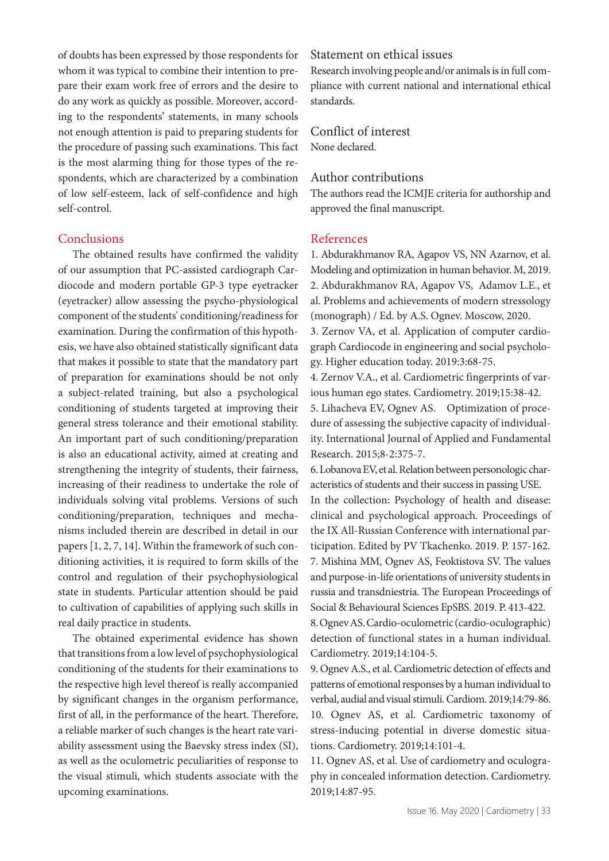of doubts has been expressed by those respondents for whom it was typical to combine their intention to prepare their exam work free of errors and the desire to do any work as quickly as possible. Moreover, according to the respondents' statements, in many schools not enough attention is paid to preparing students for the procedure of passing such examinations. This fact is the most alarming thing for those types of the respondents, which are characterized by a combination of low self-esteem, lack of self-confidence and high self-control.

## **Conclusions**

The obtained results have confirmed the validity of our assumption that PC-assisted cardiograph Cardiocode and modern portable GP-3 type eyetracker (eyetracker) allow assessing the psycho-physiological component of the students' conditioning/readiness for examination. During the confirmation of this hypothesis, we have also obtained statistically significant data that makes it possible to state that the mandatory part of preparation for examinations should be not only a subject-related training, but also a psychological conditioning of students targeted at improving their general stress tolerance and their emotional stability. An important part of such conditioning/preparation is also an educational activity, aimed at creating and strengthening the integrity of students, their fairness, increasing of their readiness to undertake the role of individuals solving vital problems. Versions of such conditioning/preparation, techniques and mechanisms included therein are described in detail in our papers [1, 2, 7, 14]. Within the framework of such conditioning activities, it is required to form skills of the control and regulation of their psychophysiological state in students. Particular attention should be paid to cultivation of capabilities of applying such skills in real daily practice in students.

The obtained experimental evidence has shown that transitions from a low level of psychophysiological conditioning of the students for their examinations to the respective high level thereof is really accompanied by significant changes in the organism performance, first of all, in the performance of the heart. Therefore, a reliable marker of such changes is the heart rate variability assessment using the Baevsky stress index (SI), as well as the oculometric peculiarities of response to the visual stimuli, which students associate with the upcoming examinations.

## Statement on ethical issues

Research involving people and/or animals is in full compliance with current national and international ethical standards.

Conflict of interest None declared.

#### Author contributions

The authors read the ICMJE criteria for authorship and approved the final manuscript.

#### References

1. Abdurakhmanov RA, Agapov VS, NN Azarnov, et al. Modeling and optimization in human behavior. M, 2019. 2. Abdurakhmanov RA, Agapov VS, Adamov L.E., et al. Problems and achievements of modern stressology (monograph) / Ed. by A.S. Ognev. Moscow, 2020.

3. Zernov VA, et al. Application of computer cardiograph Cardiocode in engineering and social psychology. Higher education today. 2019:3:68-75.

4. Zernov V.A., et al. Cardiometric fingerprints of various human ego states. Cardiometry. 2019;15:38-42.

5. Lihacheva EV, Ognev AS. Optimization of procedure of assessing the subjective capacity of individuality. International Journal of Applied and Fundamental Research. 2015;8-2:375-7.

6. Lobanova EV, et al. Relation between personologic characteristics of students and their success in passing USE. In the collection: Psychology of health and disease: clinical and psychological approach. Proceedings of the IX All-Russian Conference with international participation. Edited by PV Tkachenko. 2019. P. 157-162. 7. Mishina MM, Ognev AS, Feoktistova SV. The values and purpose-in-life orientations of university students in russia and transdniestria. The European Proceedings of Social & Behavioural Sciences EpSBS. 2019. P. 413-422.

8. Ognev AS. Cardio-oculometric (cardio-oculographic) detection of functional states in a human individual. Cardiometry. 2019;14:104-5.

9. Ognev A.S., et al. Cardiometric detection of effects and patterns of emotional responses by a human individual to verbal, audial and visual stimuli. Cardiom. 2019;14:79-86. 10. Ognev AS, et al. Cardiometric taxonomy of stress-inducing potential in diverse domestic situations. Cardiometry. 2019;14:101-4.

11. Ognev AS, et al. Use of cardiometry and oculography in concealed information detection. Cardiometry. 2019;14:87-95.